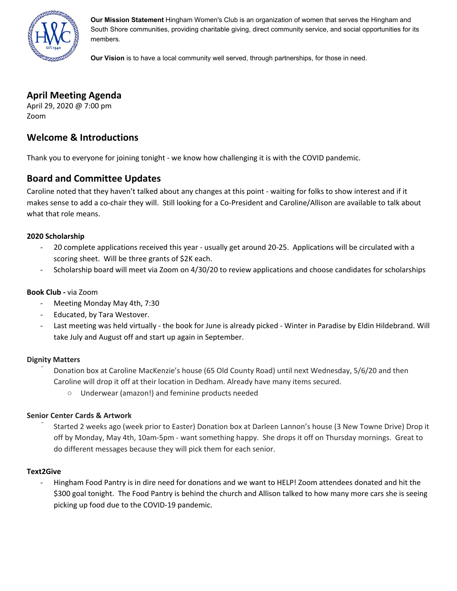

**Our Mission Statement** Hingham Women's Club is an organization of women that serves the Hingham and South Shore communities, providing charitable giving, direct community service, and social opportunities for its members.

**Our Vision** is to have a local community well served, through partnerships, for those in need.

# **April Meeting Agenda**

April 29, 2020 @ 7:00 pm Zoom

# **Welcome & Introductions**

Thank you to everyone for joining tonight - we know how challenging it is with the COVID pandemic.

# **Board and Committee Updates**

Caroline noted that they haven't talked about any changes at this point - waiting for folks to show interest and if it makes sense to add a co-chair they will. Still looking for a Co-President and Caroline/Allison are available to talk about what that role means.

## **2020 Scholarship**

- 20 complete applications received this year usually get around 20-25. Applications will be circulated with a scoring sheet. Will be three grants of \$2K each.
- Scholarship board will meet via Zoom on 4/30/20 to review applications and choose candidates for scholarships

## **Book Club -** via Zoom

- Meeting Monday May 4th, 7:30
- Educated, by Tara Westover.
- Last meeting was held virtually the book for June is already picked Winter in Paradise by Eldin Hildebrand. Will take July and August off and start up again in September.

### **Dignity Matters**

- ̄ Donation box at Caroline MacKenzie's house (65 Old County Road) until next Wednesday, 5/6/20 and then Caroline will drop it off at their location in Dedham. Already have many items secured.
	- Underwear (amazon!) and feminine products needed

### **Senior Center Cards & Artwork**

̄ Started 2 weeks ago (week prior to Easter) Donation box at Darleen Lannon's house (3 New Towne Drive) Drop it off by Monday, May 4th, 10am-5pm - want something happy. She drops it off on Thursday mornings. Great to do different messages because they will pick them for each senior.

### **Text2Give**

- Hingham Food Pantry is in dire need for donations and we want to HELP! Zoom attendees donated and hit the \$300 goal tonight. The Food Pantry is behind the church and Allison talked to how many more cars she is seeing picking up food due to the COVID-19 pandemic.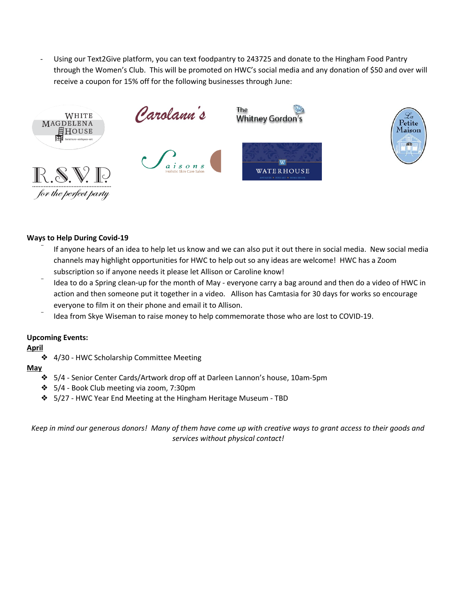Using our Text2Give platform, you can text foodpantry to 243725 and donate to the Hingham Food Pantry through the Women's Club. This will be promoted on HWC's social media and any donation of \$50 and over will receive a coupon for 15% off for the following businesses through June:





### **Ways to Help During Covid-19**

- If anyone hears of an idea to help let us know and we can also put it out there in social media. New social media channels may highlight opportunities for HWC to help out so any ideas are welcome! HWC has a Zoom subscription so if anyone needs it please let Allison or Caroline know!
- Idea to do a Spring clean-up for the month of May everyone carry a bag around and then do a video of HWC in action and then someone put it together in a video. Allison has Camtasia for 30 days for works so encourage everyone to film it on their phone and email it to Allison.
- Idea from Skye Wiseman to raise money to help commemorate those who are lost to COVID-19.

### **Upcoming Events:**

### **April**

❖ 4/30 - HWC Scholarship Committee Meeting

#### **May**

- ❖ 5/4 Senior Center Cards/Artwork drop off at Darleen Lannon's house, 10am-5pm
- ❖ 5/4 Book Club meeting via zoom, 7:30pm
- ❖ 5/27 HWC Year End Meeting at the Hingham Heritage Museum TBD

Keep in mind our generous donors! Many of them have come up with creative ways to grant access to their goods and *services without physical contact!*